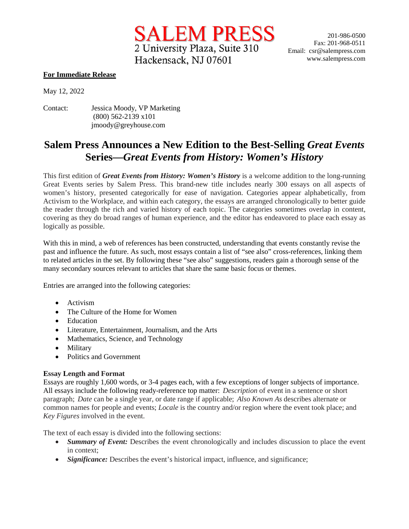2 University Plaza, Suite 310 Hackensack, NJ 07601

SALEM PRESS 201-986-0500 Fax: 201-968-0511 Email: csr@salempress.com www.salempress.com

## **For Immediate Release**

May 12, 2022

Contact: Jessica Moody, VP Marketing (800) 562-2139 x101 jmoody@greyhouse.com

## **Salem Press Announces a New Edition to the Best-Selling** *Great Events* **Series—***Great Events from History: Women's History*

This first edition of *Great Events from History: Women's History* is a welcome addition to the long-running Great Events series by Salem Press. This brand-new title includes nearly 300 essays on all aspects of women's history, presented categorically for ease of navigation. Categories appear alphabetically, from Activism to the Workplace, and within each category, the essays are arranged chronologically to better guide the reader through the rich and varied history of each topic. The categories sometimes overlap in content, covering as they do broad ranges of human experience, and the editor has endeavored to place each essay as logically as possible.

With this in mind, a web of references has been constructed, understanding that events constantly revise the past and influence the future. As such, most essays contain a list of "see also" cross-references, linking them to related articles in the set. By following these "see also" suggestions, readers gain a thorough sense of the many secondary sources relevant to articles that share the same basic focus or themes.

Entries are arranged into the following categories:

- Activism
- The Culture of the Home for Women
- Education
- Literature, Entertainment, Journalism, and the Arts
- Mathematics, Science, and Technology
- Military
- Politics and Government

## **Essay Length and Format**

Essays are roughly 1,600 words, or 3-4 pages each, with a few exceptions of longer subjects of importance. All essays include the following ready-reference top matter: *Description* of event in a sentence or short paragraph; *Date* can be a single year, or date range if applicable; *Also Known As* describes alternate or common names for people and events; *Locale* is the country and/or region where the event took place; and *Key Figures* involved in the event.

The text of each essay is divided into the following sections:

- *Summary of Event:* Describes the event chronologically and includes discussion to place the event in context;
- *Significance:* Describes the event's historical impact, influence, and significance;